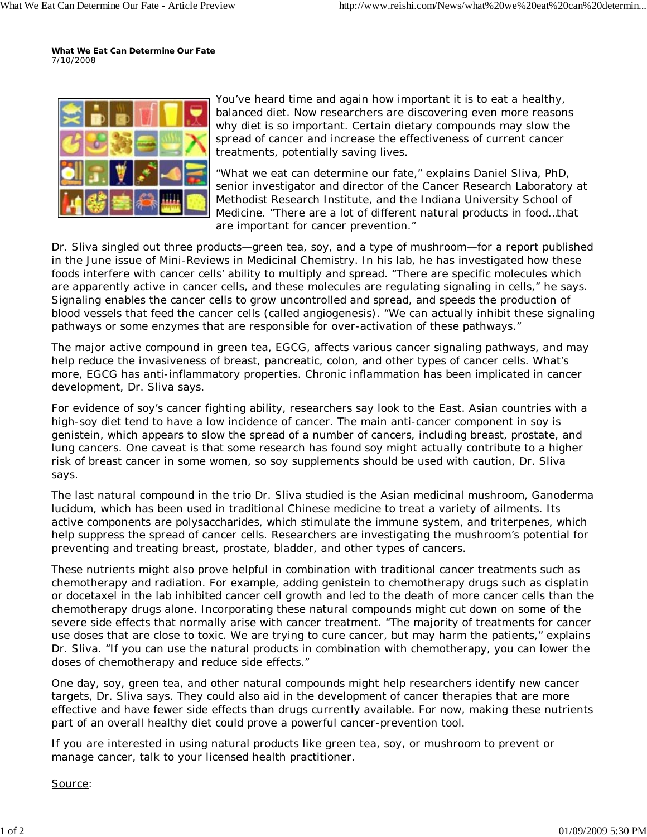**What We Eat Can Determine Our Fate** *7/10/2008*



You've heard time and again how important it is to eat a healthy, balanced diet. Now researchers are discovering even more reasons why diet is so important. Certain dietary compounds may slow the spread of cancer and increase the effectiveness of current cancer treatments, potentially saving lives.

"What we eat can determine our fate," explains Daniel Sliva, PhD, senior investigator and director of the Cancer Research Laboratory at Methodist Research Institute, and the Indiana University School of Medicine. "There are a lot of different natural products in food…that are important for cancer prevention."

Dr. Sliva singled out three products—green tea, soy, and a type of mushroom—for a report published in the June issue of Mini-Reviews in Medicinal Chemistry. In his lab, he has investigated how these foods interfere with cancer cells' ability to multiply and spread. "There are specific molecules which are apparently active in cancer cells, and these molecules are regulating signaling in cells," he says. Signaling enables the cancer cells to grow uncontrolled and spread, and speeds the production of blood vessels that feed the cancer cells (called angiogenesis). "We can actually inhibit these signaling pathways or some enzymes that are responsible for over-activation of these pathways."

The major active compound in green tea, EGCG, affects various cancer signaling pathways, and may help reduce the invasiveness of breast, pancreatic, colon, and other types of cancer cells. What's more, EGCG has anti-inflammatory properties. Chronic inflammation has been implicated in cancer development, Dr. Sliva says.

For evidence of soy's cancer fighting ability, researchers say look to the East. Asian countries with a high-soy diet tend to have a low incidence of cancer. The main anti-cancer component in soy is genistein, which appears to slow the spread of a number of cancers, including breast, prostate, and lung cancers. One caveat is that some research has found soy might actually contribute to a higher risk of breast cancer in some women, so soy supplements should be used with caution, Dr. Sliva says.

The last natural compound in the trio Dr. Sliva studied is the Asian medicinal mushroom, Ganoderma lucidum, which has been used in traditional Chinese medicine to treat a variety of ailments. Its active components are polysaccharides, which stimulate the immune system, and triterpenes, which help suppress the spread of cancer cells. Researchers are investigating the mushroom's potential for preventing and treating breast, prostate, bladder, and other types of cancers.

These nutrients might also prove helpful in combination with traditional cancer treatments such as chemotherapy and radiation. For example, adding genistein to chemotherapy drugs such as cisplatin or docetaxel in the lab inhibited cancer cell growth and led to the death of more cancer cells than the chemotherapy drugs alone. Incorporating these natural compounds might cut down on some of the severe side effects that normally arise with cancer treatment. "The majority of treatments for cancer use doses that are close to toxic. We are trying to cure cancer, but may harm the patients," explains Dr. Sliva. "If you can use the natural products in combination with chemotherapy, you can lower the doses of chemotherapy and reduce side effects."

One day, soy, green tea, and other natural compounds might help researchers identify new cancer targets, Dr. Sliva says. They could also aid in the development of cancer therapies that are more effective and have fewer side effects than drugs currently available. For now, making these nutrients part of an overall healthy diet could prove a powerful cancer-prevention tool.

If you are interested in using natural products like green tea, soy, or mushroom to prevent or manage cancer, talk to your licensed health practitioner.

## Source: